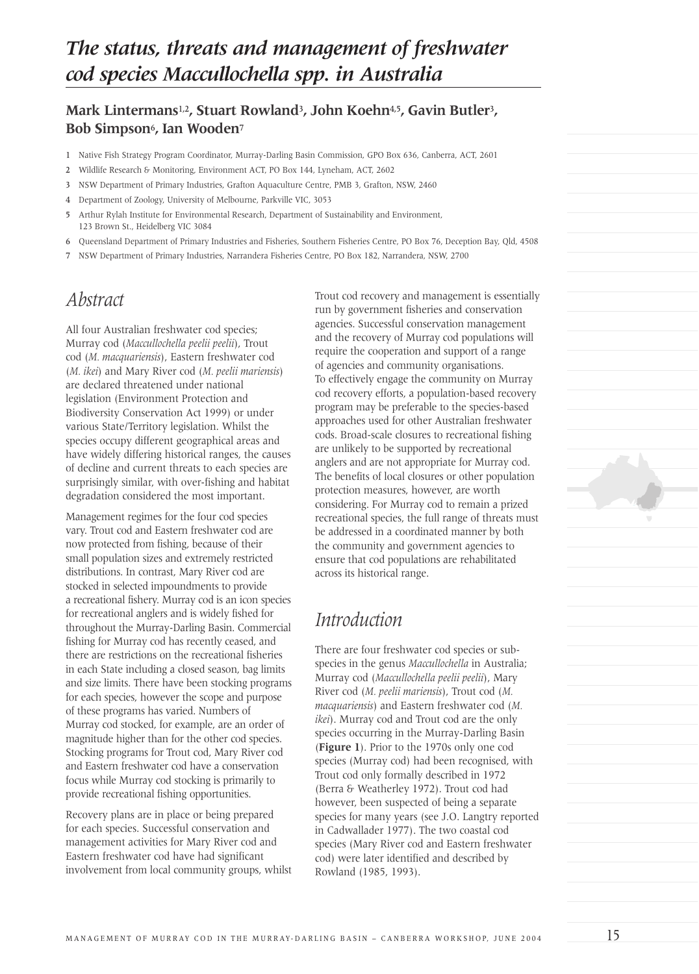## **Mark Lintermans**1,2**, Stuart Rowland**3**, John Koehn**4,5**, Gavin Butler**3**, Bob Simpson**6**, Ian Wooden**<sup>7</sup>

- 1 Native Fish Strategy Program Coordinator, Murray-Darling Basin Commission, GPO Box 636, Canberra, ACT, 2601
- 2 Wildlife Research & Monitoring, Environment ACT, PO Box 144, Lyneham, ACT, 2602
- 3 NSW Department of Primary Industries, Grafton Aquaculture Centre, PMB 3, Grafton, NSW, 2460
- 4 Department of Zoology, University of Melbourne, Parkville VIC, 3053
- 5 Arthur Rylah Institute for Environmental Research, Department of Sustainability and Environment, 123 Brown St., Heidelberg VIC 3084
- 6 Queensland Department of Primary Industries and Fisheries, Southern Fisheries Centre, PO Box 76, Deception Bay, Qld, 4508
- 7 NSW Department of Primary Industries, Narrandera Fisheries Centre, PO Box 182, Narrandera, NSW, 2700

## *Abstract*

All four Australian freshwater cod species; Murray cod (*Maccullochella peelii peelii*), Trout cod (*M. macquariensis*), Eastern freshwater cod (*M. ikei*) and Mary River cod (*M. peelii mariensis*) are declared threatened under national legislation (Environment Protection and Biodiversity Conservation Act 1999) or under various State/Territory legislation. Whilst the species occupy different geographical areas and have widely differing historical ranges, the causes of decline and current threats to each species are surprisingly similar, with over-fishing and habitat degradation considered the most important.

Management regimes for the four cod species vary. Trout cod and Eastern freshwater cod are now protected from fishing, because of their small population sizes and extremely restricted distributions. In contrast, Mary River cod are stocked in selected impoundments to provide a recreational fishery. Murray cod is an icon species for recreational anglers and is widely fished for throughout the Murray-Darling Basin. Commercial fishing for Murray cod has recently ceased, and there are restrictions on the recreational fisheries in each State including a closed season, bag limits and size limits. There have been stocking programs for each species, however the scope and purpose of these programs has varied. Numbers of Murray cod stocked, for example, are an order of magnitude higher than for the other cod species. Stocking programs for Trout cod, Mary River cod and Eastern freshwater cod have a conservation focus while Murray cod stocking is primarily to provide recreational fishing opportunities.

Recovery plans are in place or being prepared for each species. Successful conservation and management activities for Mary River cod and Eastern freshwater cod have had significant involvement from local community groups, whilst Trout cod recovery and management is essentially run by government fisheries and conservation agencies. Successful conservation management and the recovery of Murray cod populations will require the cooperation and support of a range of agencies and community organisations. To effectively engage the community on Murray cod recovery efforts, a population-based recovery program may be preferable to the species-based approaches used for other Australian freshwater cods. Broad-scale closures to recreational fishing are unlikely to be supported by recreational anglers and are not appropriate for Murray cod. The benefits of local closures or other population protection measures, however, are worth considering. For Murray cod to remain a prized recreational species, the full range of threats must be addressed in a coordinated manner by both the community and government agencies to ensure that cod populations are rehabilitated across its historical range.

## *Introduction*

There are four freshwater cod species or subspecies in the genus *Maccullochella* in Australia; Murray cod (*Maccullochella peelii peelii*), Mary River cod (*M. peelii mariensis*), Trout cod (*M. macquariensis*) and Eastern freshwater cod (*M. ikei*). Murray cod and Trout cod are the only species occurring in the Murray-Darling Basin (**Figure 1**). Prior to the 1970s only one cod species (Murray cod) had been recognised, with Trout cod only formally described in 1972 (Berra & Weatherley 1972). Trout cod had however, been suspected of being a separate species for many years (see J.O. Langtry reported in Cadwallader 1977). The two coastal cod species (Mary River cod and Eastern freshwater cod) were later identified and described by Rowland (1985, 1993).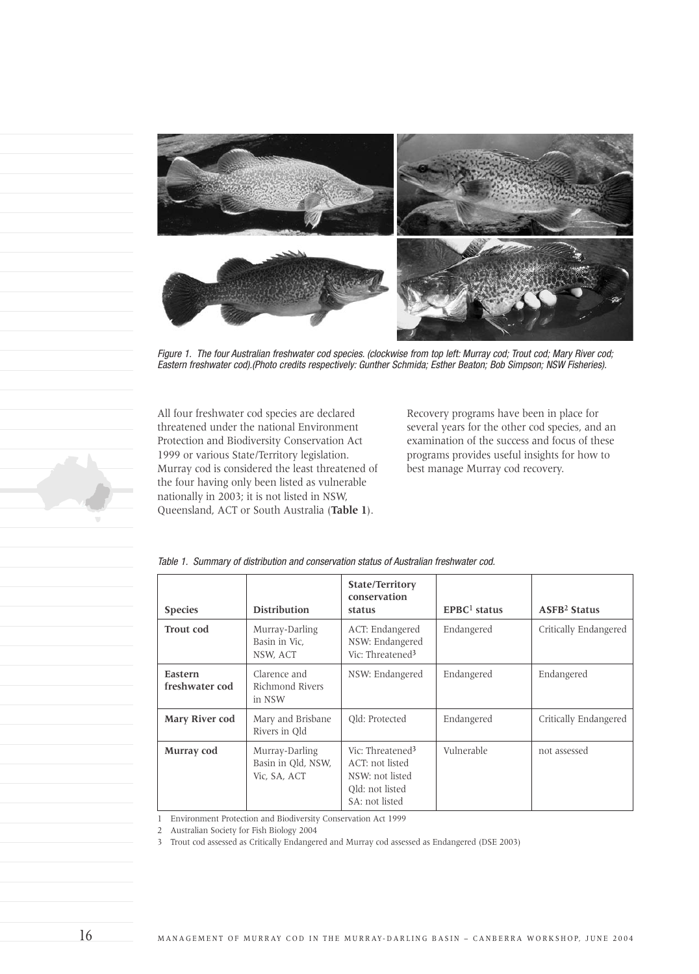

Figure 1. The four Australian freshwater cod species. (clockwise from top left: Murray cod; Trout cod; Mary River cod; Eastern freshwater cod).(Photo credits respectively: Gunther Schmida; Esther Beaton; Bob Simpson; NSW Fisheries).

All four freshwater cod species are declared threatened under the national Environment Protection and Biodiversity Conservation Act 1999 or various State/Territory legislation. Murray cod is considered the least threatened of the four having only been listed as vulnerable nationally in 2003; it is not listed in NSW, Queensland, ACT or South Australia (**Table 1**).

Recovery programs have been in place for several years for the other cod species, and an examination of the success and focus of these programs provides useful insights for how to best manage Murray cod recovery.

| <b>Species</b>            | <b>Distribution</b>                                  | <b>State/Territory</b><br>conservation<br>status                                                        | $EPRC1$ status | <b>ASFB<sup>2</sup></b> Status |
|---------------------------|------------------------------------------------------|---------------------------------------------------------------------------------------------------------|----------------|--------------------------------|
| <b>Trout</b> cod          | Murray-Darling<br>Basin in Vic.<br>NSW, ACT          | ACT: Endangered<br>NSW: Endangered<br>Vic: Threatened <sup>3</sup>                                      | Endangered     | Critically Endangered          |
| Eastern<br>freshwater cod | Clarence and<br>Richmond Rivers<br>in NSW            | NSW: Endangered                                                                                         | Endangered     | Endangered                     |
| Mary River cod            | Mary and Brisbane<br>Rivers in Old                   | Old: Protected                                                                                          | Endangered     | Critically Endangered          |
| Murray cod                | Murray-Darling<br>Basin in Old, NSW,<br>Vic. SA, ACT | Vic: Threatened <sup>3</sup><br>ACT: not listed<br>NSW: not listed<br>Old: not listed<br>SA: not listed | Vulnerable     | not assessed                   |

Table 1. Summary of distribution and conservation status of Australian freshwater cod.

1 Environment Protection and Biodiversity Conservation Act 1999

2 Australian Society for Fish Biology 2004

3 Trout cod assessed as Critically Endangered and Murray cod assessed as Endangered (DSE 2003)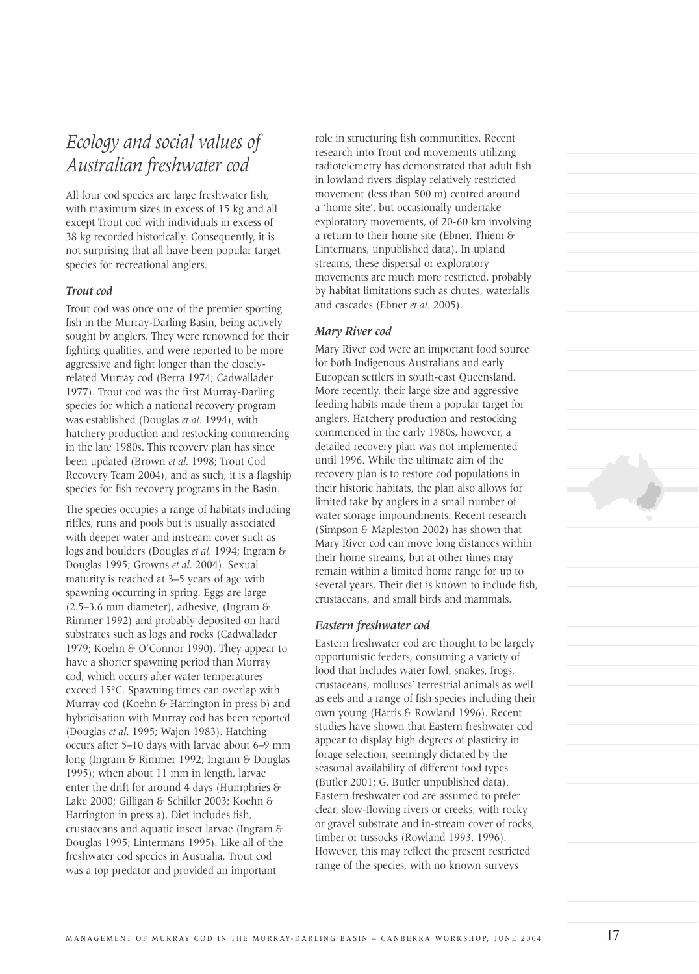# *Ecology and social values of Australian freshwater cod*

All four cod species are large freshwater fish, with maximum sizes in excess of 15 kg and all except Trout cod with individuals in excess of 38 kg recorded historically. Consequently, it is not surprising that all have been popular target species for recreational anglers.

#### *Trout cod*

Trout cod was once one of the premier sporting fish in the Murray-Darling Basin, being actively sought by anglers. They were renowned for their fighting qualities, and were reported to be more aggressive and fight longer than the closelyrelated Murray cod (Berra 1974; Cadwallader 1977). Trout cod was the first Murray-Darling species for which a national recovery program was established (Douglas *et al.* 1994), with hatchery production and restocking commencing in the late 1980s. This recovery plan has since been updated (Brown *et al.* 1998; Trout Cod Recovery Team 2004), and as such, it is a flagship species for fish recovery programs in the Basin.

The species occupies a range of habitats including riffles, runs and pools but is usually associated with deeper water and instream cover such as logs and boulders (Douglas *et al.* 1994; Ingram & Douglas 1995; Growns *et al*. 2004). Sexual maturity is reached at 3–5 years of age with spawning occurring in spring. Eggs are large (2.5–3.6 mm diameter), adhesive, (Ingram & Rimmer 1992) and probably deposited on hard substrates such as logs and rocks (Cadwallader 1979; Koehn & O'Connor 1990). They appear to have a shorter spawning period than Murray cod, which occurs after water temperatures exceed 15°C. Spawning times can overlap with Murray cod (Koehn & Harrington in press b) and hybridisation with Murray cod has been reported (Douglas *et al*. 1995; Wajon 1983). Hatching occurs after 5–10 days with larvae about 6–9 mm long (Ingram & Rimmer 1992; Ingram & Douglas 1995); when about 11 mm in length, larvae enter the drift for around 4 days (Humphries & Lake 2000; Gilligan & Schiller 2003; Koehn & Harrington in press a). Diet includes fish, crustaceans and aquatic insect larvae (Ingram & Douglas 1995; Lintermans 1995). Like all of the freshwater cod species in Australia, Trout cod was a top predator and provided an important

role in structuring fish communities. Recent research into Trout cod movements utilizing radiotelemetry has demonstrated that adult fish in lowland rivers display relatively restricted movement (less than 500 m) centred around a 'home site', but occasionally undertake exploratory movements, of 20-60 km involving a return to their home site (Ebner, Thiem & Lintermans, unpublished data). In upland streams, these dispersal or exploratory movements are much more restricted, probably by habitat limitations such as chutes, waterfalls and cascades (Ebner *et al*. 2005).

### *Mary River cod*

Mary River cod were an important food source for both Indigenous Australians and early European settlers in south-east Queensland. More recently, their large size and aggressive feeding habits made them a popular target for anglers. Hatchery production and restocking commenced in the early 1980s, however, a detailed recovery plan was not implemented until 1996. While the ultimate aim of the recovery plan is to restore cod populations in their historic habitats, the plan also allows for limited take by anglers in a small number of water storage impoundments. Recent research (Simpson & Mapleston 2002) has shown that Mary River cod can move long distances within their home streams, but at other times may remain within a limited home range for up to several years. Their diet is known to include fish, crustaceans, and small birds and mammals.

### *Eastern freshwater cod*

Eastern freshwater cod are thought to be largely opportunistic feeders, consuming a variety of food that includes water fowl, snakes, frogs, crustaceans, molluscs' terrestrial animals as well as eels and a range of fish species including their own young (Harris & Rowland 1996). Recent studies have shown that Eastern freshwater cod appear to display high degrees of plasticity in forage selection, seemingly dictated by the seasonal availability of different food types (Butler 2001; G. Butler unpublished data). Eastern freshwater cod are assumed to prefer clear, slow-flowing rivers or creeks, with rocky or gravel substrate and in-stream cover of rocks, timber or tussocks (Rowland 1993, 1996). However, this may reflect the present restricted range of the species, with no known surveys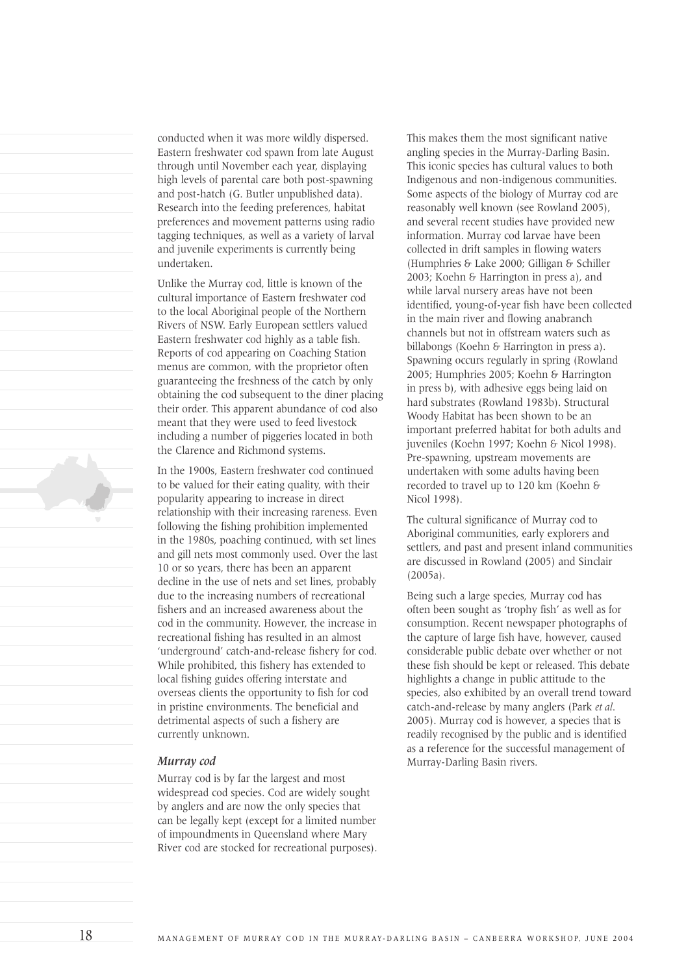conducted when it was more wildly dispersed. Eastern freshwater cod spawn from late August through until November each year, displaying high levels of parental care both post-spawning and post-hatch (G. Butler unpublished data). Research into the feeding preferences, habitat preferences and movement patterns using radio tagging techniques, as well as a variety of larval and juvenile experiments is currently being undertaken.

Unlike the Murray cod, little is known of the cultural importance of Eastern freshwater cod to the local Aboriginal people of the Northern Rivers of NSW. Early European settlers valued Eastern freshwater cod highly as a table fish. Reports of cod appearing on Coaching Station menus are common, with the proprietor often guaranteeing the freshness of the catch by only obtaining the cod subsequent to the diner placing their order. This apparent abundance of cod also meant that they were used to feed livestock including a number of piggeries located in both the Clarence and Richmond systems.

In the 1900s, Eastern freshwater cod continued to be valued for their eating quality, with their popularity appearing to increase in direct relationship with their increasing rareness. Even following the fishing prohibition implemented in the 1980s, poaching continued, with set lines and gill nets most commonly used. Over the last 10 or so years, there has been an apparent decline in the use of nets and set lines, probably due to the increasing numbers of recreational fishers and an increased awareness about the cod in the community. However, the increase in recreational fishing has resulted in an almost 'underground' catch-and-release fishery for cod. While prohibited, this fishery has extended to local fishing guides offering interstate and overseas clients the opportunity to fish for cod in pristine environments. The beneficial and detrimental aspects of such a fishery are currently unknown.

#### *Murray cod*

Murray cod is by far the largest and most widespread cod species. Cod are widely sought by anglers and are now the only species that can be legally kept (except for a limited number of impoundments in Queensland where Mary River cod are stocked for recreational purposes). This makes them the most significant native angling species in the Murray-Darling Basin. This iconic species has cultural values to both Indigenous and non-indigenous communities. Some aspects of the biology of Murray cod are reasonably well known (see Rowland 2005), and several recent studies have provided new information. Murray cod larvae have been collected in drift samples in flowing waters (Humphries & Lake 2000; Gilligan & Schiller 2003; Koehn & Harrington in press a), and while larval nursery areas have not been identified, young-of-year fish have been collected in the main river and flowing anabranch channels but not in offstream waters such as billabongs (Koehn & Harrington in press a). Spawning occurs regularly in spring (Rowland 2005; Humphries 2005; Koehn & Harrington in press b), with adhesive eggs being laid on hard substrates (Rowland 1983b). Structural Woody Habitat has been shown to be an important preferred habitat for both adults and juveniles (Koehn 1997; Koehn & Nicol 1998). Pre-spawning, upstream movements are undertaken with some adults having been recorded to travel up to 120 km (Koehn & Nicol 1998).

The cultural significance of Murray cod to Aboriginal communities, early explorers and settlers, and past and present inland communities are discussed in Rowland (2005) and Sinclair (2005a).

Being such a large species, Murray cod has often been sought as 'trophy fish' as well as for consumption. Recent newspaper photographs of the capture of large fish have, however, caused considerable public debate over whether or not these fish should be kept or released. This debate highlights a change in public attitude to the species, also exhibited by an overall trend toward catch-and-release by many anglers (Park *et al*. 2005). Murray cod is however, a species that is readily recognised by the public and is identified as a reference for the successful management of Murray-Darling Basin rivers.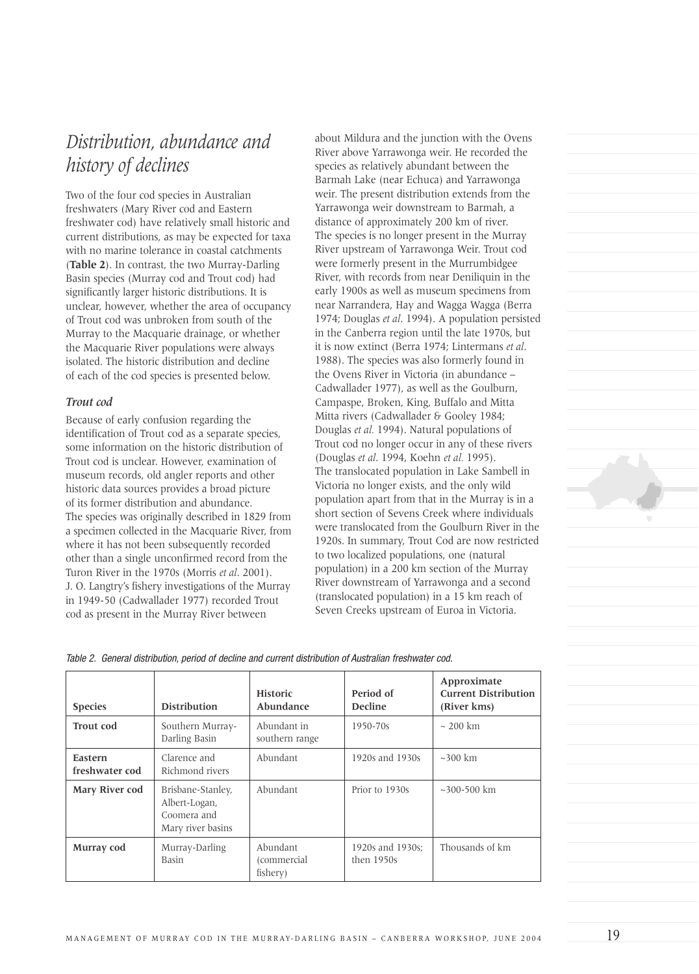# *Distribution, abundance and history of declines*

Two of the four cod species in Australian freshwaters (Mary River cod and Eastern freshwater cod) have relatively small historic and current distributions, as may be expected for taxa with no marine tolerance in coastal catchments (**Table 2**). In contrast, the two Murray-Darling Basin species (Murray cod and Trout cod) had significantly larger historic distributions. It is unclear, however, whether the area of occupancy of Trout cod was unbroken from south of the Murray to the Macquarie drainage, or whether the Macquarie River populations were always isolated. The historic distribution and decline of each of the cod species is presented below.

### *Trout cod*

Because of early confusion regarding the identification of Trout cod as a separate species, some information on the historic distribution of Trout cod is unclear. However, examination of museum records, old angler reports and other historic data sources provides a broad picture of its former distribution and abundance. The species was originally described in 1829 from a specimen collected in the Macquarie River, from where it has not been subsequently recorded other than a single unconfirmed record from the Turon River in the 1970s (Morris *et al*. 2001). J. O. Langtry's fishery investigations of the Murray in 1949-50 (Cadwallader 1977) recorded Trout cod as present in the Murray River between

about Mildura and the junction with the Ovens River above Yarrawonga weir. He recorded the species as relatively abundant between the Barmah Lake (near Echuca) and Yarrawonga weir. The present distribution extends from the Yarrawonga weir downstream to Barmah, a distance of approximately 200 km of river. The species is no longer present in the Murray River upstream of Yarrawonga Weir. Trout cod were formerly present in the Murrumbidgee River, with records from near Deniliquin in the early 1900s as well as museum specimens from near Narrandera, Hay and Wagga Wagga (Berra 1974; Douglas *et al*. 1994). A population persisted in the Canberra region until the late 1970s, but it is now extinct (Berra 1974; Lintermans *et al*. 1988). The species was also formerly found in the Ovens River in Victoria (in abundance – Cadwallader 1977), as well as the Goulburn, Campaspe, Broken, King, Buffalo and Mitta Mitta rivers (Cadwallader & Gooley 1984; Douglas *et al.* 1994). Natural populations of Trout cod no longer occur in any of these rivers (Douglas *et al*. 1994, Koehn *et al.* 1995). The translocated population in Lake Sambell in Victoria no longer exists, and the only wild population apart from that in the Murray is in a short section of Sevens Creek where individuals were translocated from the Goulburn River in the 1920s. In summary, Trout Cod are now restricted to two localized populations, one (natural population) in a 200 km section of the Murray River downstream of Yarrawonga and a second (translocated population) in a 15 km reach of Seven Creeks upstream of Euroa in Victoria.



| <b>Species</b>            | <b>Distribution</b>                                                    | <b>Historic</b><br>Abundance        | Period of<br><b>Decline</b>      | Approximate<br><b>Current Distribution</b><br>(River kms) |
|---------------------------|------------------------------------------------------------------------|-------------------------------------|----------------------------------|-----------------------------------------------------------|
| <b>Trout</b> cod          | Southern Murray-<br>Darling Basin                                      | Abundant in<br>southern range       | $1950 - 70s$                     | $\sim$ 200 km                                             |
| Eastern<br>freshwater cod | Clarence and<br>Richmond rivers                                        | Abundant                            | 1920s and 1930s                  | $\sim$ 300 km                                             |
| Mary River cod            | Brisbane-Stanley,<br>Albert-Logan,<br>Coomera and<br>Mary river basins | Abundant                            | Prior to 1930s                   | $~100-500$ km                                             |
| Murray cod                | Murray-Darling<br>Basin                                                | Abundant<br>(commercial<br>fishery) | 1920s and 1930s;<br>then $1950s$ | Thousands of km                                           |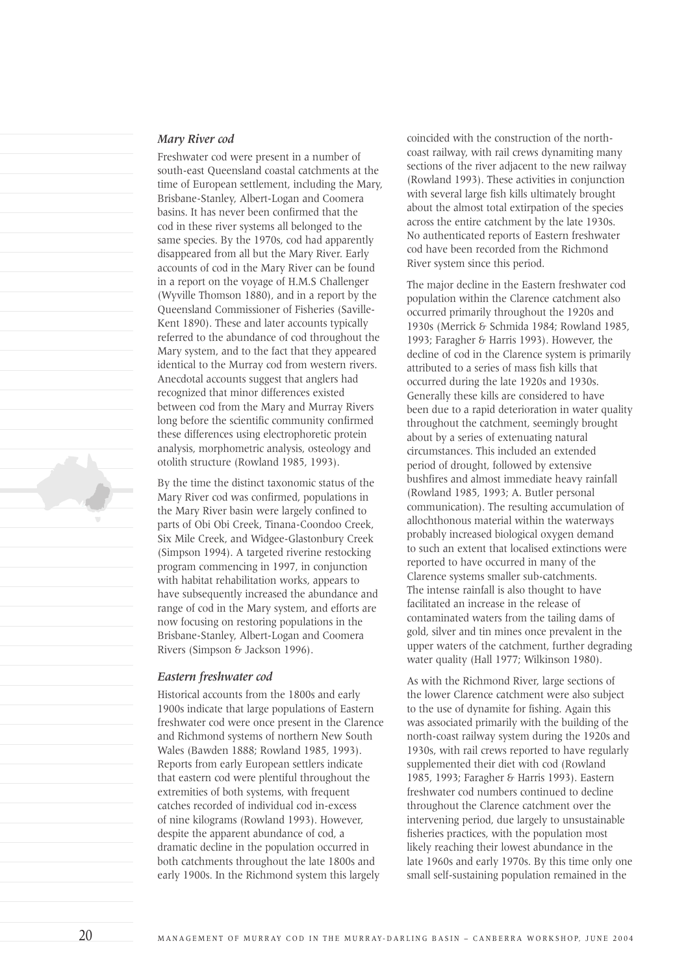#### *Mary River cod*

Freshwater cod were present in a number of south-east Queensland coastal catchments at the time of European settlement, including the Mary, Brisbane-Stanley, Albert-Logan and Coomera basins. It has never been confirmed that the cod in these river systems all belonged to the same species. By the 1970s, cod had apparently disappeared from all but the Mary River. Early accounts of cod in the Mary River can be found in a report on the voyage of H.M.S Challenger (Wyville Thomson 1880), and in a report by the Queensland Commissioner of Fisheries (Saville-Kent 1890). These and later accounts typically referred to the abundance of cod throughout the Mary system, and to the fact that they appeared identical to the Murray cod from western rivers. Anecdotal accounts suggest that anglers had recognized that minor differences existed between cod from the Mary and Murray Rivers long before the scientific community confirmed these differences using electrophoretic protein analysis, morphometric analysis, osteology and otolith structure (Rowland 1985, 1993).

By the time the distinct taxonomic status of the Mary River cod was confirmed, populations in the Mary River basin were largely confined to parts of Obi Obi Creek, Tinana-Coondoo Creek, Six Mile Creek, and Widgee-Glastonbury Creek (Simpson 1994). A targeted riverine restocking program commencing in 1997, in conjunction with habitat rehabilitation works, appears to have subsequently increased the abundance and range of cod in the Mary system, and efforts are now focusing on restoring populations in the Brisbane-Stanley, Albert-Logan and Coomera Rivers (Simpson & Jackson 1996).

#### *Eastern freshwater cod*

Historical accounts from the 1800s and early 1900s indicate that large populations of Eastern freshwater cod were once present in the Clarence and Richmond systems of northern New South Wales (Bawden 1888; Rowland 1985, 1993). Reports from early European settlers indicate that eastern cod were plentiful throughout the extremities of both systems, with frequent catches recorded of individual cod in-excess of nine kilograms (Rowland 1993). However, despite the apparent abundance of cod, a dramatic decline in the population occurred in both catchments throughout the late 1800s and early 1900s. In the Richmond system this largely

coincided with the construction of the northcoast railway, with rail crews dynamiting many sections of the river adjacent to the new railway (Rowland 1993). These activities in conjunction with several large fish kills ultimately brought about the almost total extirpation of the species across the entire catchment by the late 1930s. No authenticated reports of Eastern freshwater cod have been recorded from the Richmond River system since this period.

The major decline in the Eastern freshwater cod population within the Clarence catchment also occurred primarily throughout the 1920s and 1930s (Merrick & Schmida 1984; Rowland 1985, 1993; Faragher & Harris 1993). However, the decline of cod in the Clarence system is primarily attributed to a series of mass fish kills that occurred during the late 1920s and 1930s. Generally these kills are considered to have been due to a rapid deterioration in water quality throughout the catchment, seemingly brought about by a series of extenuating natural circumstances. This included an extended period of drought, followed by extensive bushfires and almost immediate heavy rainfall (Rowland 1985, 1993; A. Butler personal communication). The resulting accumulation of allochthonous material within the waterways probably increased biological oxygen demand to such an extent that localised extinctions were reported to have occurred in many of the Clarence systems smaller sub-catchments. The intense rainfall is also thought to have facilitated an increase in the release of contaminated waters from the tailing dams of gold, silver and tin mines once prevalent in the upper waters of the catchment, further degrading water quality (Hall 1977; Wilkinson 1980).

As with the Richmond River, large sections of the lower Clarence catchment were also subject to the use of dynamite for fishing. Again this was associated primarily with the building of the north-coast railway system during the 1920s and 1930s, with rail crews reported to have regularly supplemented their diet with cod (Rowland 1985, 1993; Faragher & Harris 1993). Eastern freshwater cod numbers continued to decline throughout the Clarence catchment over the intervening period, due largely to unsustainable fisheries practices, with the population most likely reaching their lowest abundance in the late 1960s and early 1970s. By this time only one small self-sustaining population remained in the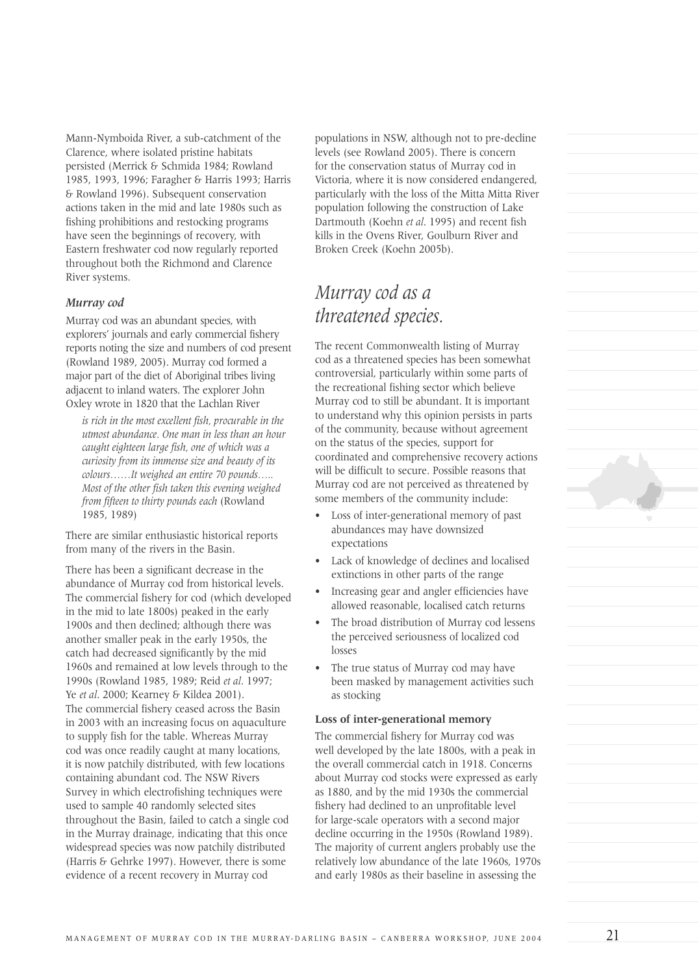Mann-Nymboida River, a sub-catchment of the Clarence, where isolated pristine habitats persisted (Merrick & Schmida 1984; Rowland 1985, 1993, 1996; Faragher & Harris 1993; Harris & Rowland 1996). Subsequent conservation actions taken in the mid and late 1980s such as fishing prohibitions and restocking programs have seen the beginnings of recovery, with Eastern freshwater cod now regularly reported throughout both the Richmond and Clarence River systems.

### *Murray cod*

Murray cod was an abundant species, with explorers' journals and early commercial fishery reports noting the size and numbers of cod present (Rowland 1989, 2005). Murray cod formed a major part of the diet of Aboriginal tribes living adjacent to inland waters. The explorer John Oxley wrote in 1820 that the Lachlan River

*is rich in the most excellent fish, procurable in the utmost abundance. One man in less than an hour caught eighteen large fish, one of which was a curiosity from its immense size and beauty of its colours……It weighed an entire 70 pounds….. Most of the other fish taken this evening weighed from fifteen to thirty pounds each* (Rowland 1985, 1989)

There are similar enthusiastic historical reports from many of the rivers in the Basin.

There has been a significant decrease in the abundance of Murray cod from historical levels. The commercial fishery for cod (which developed in the mid to late 1800s) peaked in the early 1900s and then declined; although there was another smaller peak in the early 1950s, the catch had decreased significantly by the mid 1960s and remained at low levels through to the 1990s (Rowland 1985, 1989; Reid *et al*. 1997; Ye *et al*. 2000; Kearney & Kildea 2001). The commercial fishery ceased across the Basin in 2003 with an increasing focus on aquaculture to supply fish for the table. Whereas Murray cod was once readily caught at many locations, it is now patchily distributed, with few locations containing abundant cod. The NSW Rivers Survey in which electrofishing techniques were used to sample 40 randomly selected sites throughout the Basin, failed to catch a single cod in the Murray drainage, indicating that this once widespread species was now patchily distributed (Harris & Gehrke 1997). However, there is some evidence of a recent recovery in Murray cod

populations in NSW, although not to pre-decline levels (see Rowland 2005). There is concern for the conservation status of Murray cod in Victoria, where it is now considered endangered, particularly with the loss of the Mitta Mitta River population following the construction of Lake Dartmouth (Koehn *et al*. 1995) and recent fish kills in the Ovens River, Goulburn River and Broken Creek (Koehn 2005b).

# *Murray cod as a threatened species.*

The recent Commonwealth listing of Murray cod as a threatened species has been somewhat controversial, particularly within some parts of the recreational fishing sector which believe Murray cod to still be abundant. It is important to understand why this opinion persists in parts of the community, because without agreement on the status of the species, support for coordinated and comprehensive recovery actions will be difficult to secure. Possible reasons that Murray cod are not perceived as threatened by some members of the community include:

- Loss of inter-generational memory of past abundances may have downsized expectations
- Lack of knowledge of declines and localised extinctions in other parts of the range
- Increasing gear and angler efficiencies have allowed reasonable, localised catch returns
- The broad distribution of Murray cod lessens the perceived seriousness of localized cod losses
- The true status of Murray cod may have been masked by management activities such as stocking

#### **Loss of inter-generational memory**

The commercial fishery for Murray cod was well developed by the late 1800s, with a peak in the overall commercial catch in 1918. Concerns about Murray cod stocks were expressed as early as 1880, and by the mid 1930s the commercial fishery had declined to an unprofitable level for large-scale operators with a second major decline occurring in the 1950s (Rowland 1989). The majority of current anglers probably use the relatively low abundance of the late 1960s, 1970s and early 1980s as their baseline in assessing the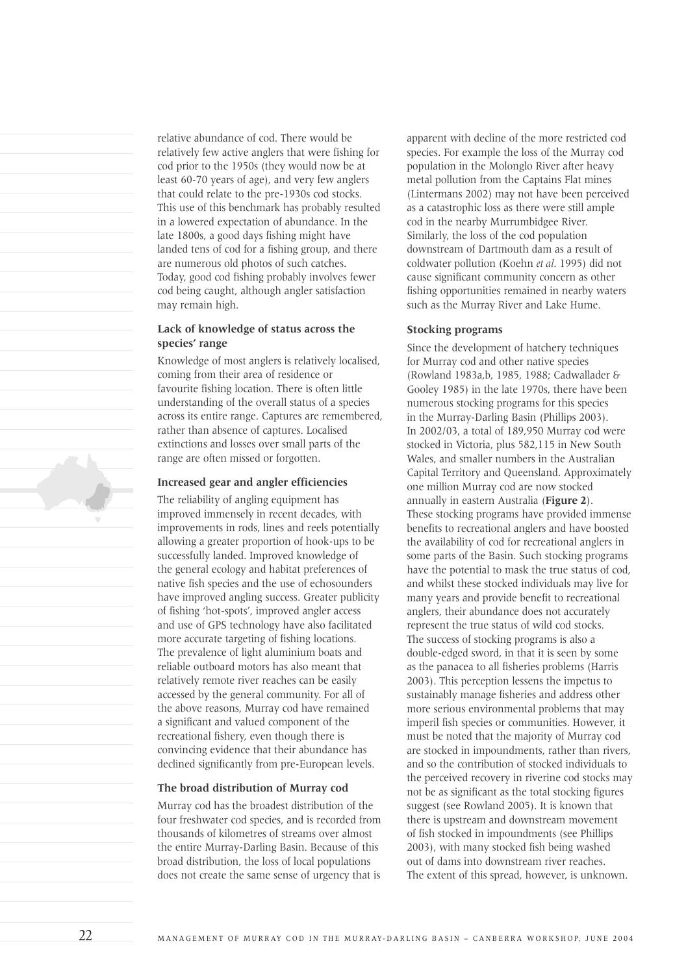relative abundance of cod. There would be relatively few active anglers that were fishing for cod prior to the 1950s (they would now be at least 60-70 years of age), and very few anglers that could relate to the pre-1930s cod stocks. This use of this benchmark has probably resulted in a lowered expectation of abundance. In the late 1800s, a good days fishing might have landed tens of cod for a fishing group, and there are numerous old photos of such catches. Today, good cod fishing probably involves fewer cod being caught, although angler satisfaction may remain high.

### **Lack of knowledge of status across the species' range**

Knowledge of most anglers is relatively localised, coming from their area of residence or favourite fishing location. There is often little understanding of the overall status of a species across its entire range. Captures are remembered, rather than absence of captures. Localised extinctions and losses over small parts of the range are often missed or forgotten.

### **Increased gear and angler efficiencies**

The reliability of angling equipment has improved immensely in recent decades, with improvements in rods, lines and reels potentially allowing a greater proportion of hook-ups to be successfully landed. Improved knowledge of the general ecology and habitat preferences of native fish species and the use of echosounders have improved angling success. Greater publicity of fishing 'hot-spots', improved angler access and use of GPS technology have also facilitated more accurate targeting of fishing locations. The prevalence of light aluminium boats and reliable outboard motors has also meant that relatively remote river reaches can be easily accessed by the general community. For all of the above reasons, Murray cod have remained a significant and valued component of the recreational fishery, even though there is convincing evidence that their abundance has declined significantly from pre-European levels.

### **The broad distribution of Murray cod**

Murray cod has the broadest distribution of the four freshwater cod species, and is recorded from thousands of kilometres of streams over almost the entire Murray-Darling Basin. Because of this broad distribution, the loss of local populations does not create the same sense of urgency that is apparent with decline of the more restricted cod species. For example the loss of the Murray cod population in the Molonglo River after heavy metal pollution from the Captains Flat mines (Lintermans 2002) may not have been perceived as a catastrophic loss as there were still ample cod in the nearby Murrumbidgee River. Similarly, the loss of the cod population downstream of Dartmouth dam as a result of coldwater pollution (Koehn *et al*. 1995) did not cause significant community concern as other fishing opportunities remained in nearby waters such as the Murray River and Lake Hume.

#### **Stocking programs**

Since the development of hatchery techniques for Murray cod and other native species (Rowland 1983a,b, 1985, 1988; Cadwallader & Gooley 1985) in the late 1970s, there have been numerous stocking programs for this species in the Murray-Darling Basin (Phillips 2003). In 2002/03, a total of 189,950 Murray cod were stocked in Victoria, plus 582,115 in New South Wales, and smaller numbers in the Australian Capital Territory and Queensland. Approximately one million Murray cod are now stocked annually in eastern Australia (**Figure 2**). These stocking programs have provided immense benefits to recreational anglers and have boosted the availability of cod for recreational anglers in some parts of the Basin. Such stocking programs have the potential to mask the true status of cod, and whilst these stocked individuals may live for many years and provide benefit to recreational anglers, their abundance does not accurately represent the true status of wild cod stocks. The success of stocking programs is also a double-edged sword, in that it is seen by some as the panacea to all fisheries problems (Harris 2003). This perception lessens the impetus to sustainably manage fisheries and address other more serious environmental problems that may imperil fish species or communities. However, it must be noted that the majority of Murray cod are stocked in impoundments, rather than rivers, and so the contribution of stocked individuals to the perceived recovery in riverine cod stocks may not be as significant as the total stocking figures suggest (see Rowland 2005). It is known that there is upstream and downstream movement of fish stocked in impoundments (see Phillips 2003), with many stocked fish being washed out of dams into downstream river reaches. The extent of this spread, however, is unknown.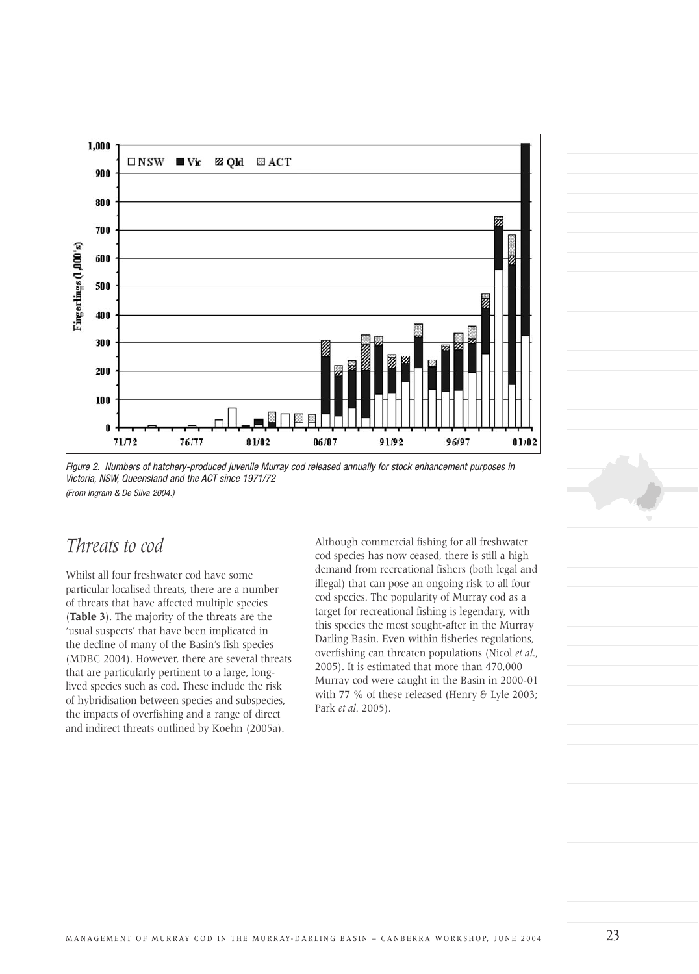

Figure 2. Numbers of hatchery-produced juvenile Murray cod released annually for stock enhancement purposes in Victoria, NSW, Queensland and the ACT since 1971/72 (From Ingram & De Silva 2004.)

## *Threats to cod*

Whilst all four freshwater cod have some particular localised threats, there are a number of threats that have affected multiple species (**Table 3**). The majority of the threats are the 'usual suspects' that have been implicated in the decline of many of the Basin's fish species (MDBC 2004). However, there are several threats that are particularly pertinent to a large, longlived species such as cod. These include the risk of hybridisation between species and subspecies, the impacts of overfishing and a range of direct and indirect threats outlined by Koehn (2005a).

Although commercial fishing for all freshwater cod species has now ceased, there is still a high demand from recreational fishers (both legal and illegal) that can pose an ongoing risk to all four cod species. The popularity of Murray cod as a target for recreational fishing is legendary, with this species the most sought-after in the Murray Darling Basin. Even within fisheries regulations, overfishing can threaten populations (Nicol *et al*., 2005). It is estimated that more than 470,000 Murray cod were caught in the Basin in 2000-01 with 77 % of these released (Henry & Lyle 2003; Park *et al*. 2005).

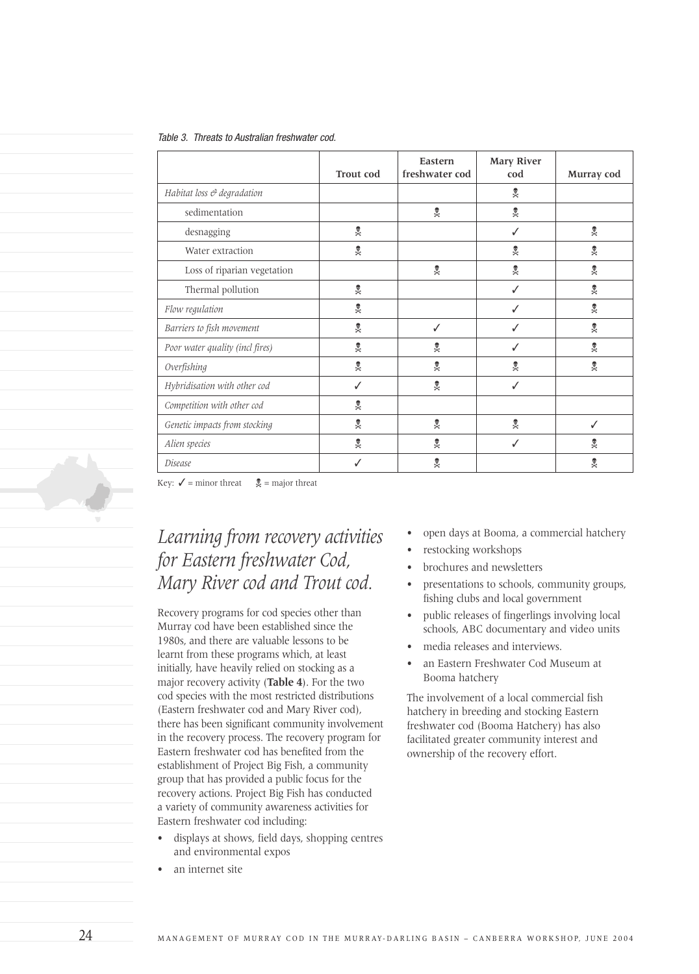|--|

|                                 | <b>Trout cod</b>     | Eastern<br>freshwater cod | <b>Mary River</b><br>cod | Murray cod           |
|---------------------------------|----------------------|---------------------------|--------------------------|----------------------|
| Habitat loss & degradation      |                      |                           | ХФ                       |                      |
| sedimentation                   |                      | $\mathbb{X}^\bullet$      | $\mathbb{X}^\bullet$     |                      |
| desnagging                      | $X^{\bullet\bullet}$ |                           | ✓                        | $\chi_{\Theta}$      |
| Water extraction                | $X^{\bullet\bullet}$ |                           | ХФ                       | Х⊕                   |
| Loss of riparian vegetation     |                      | $X^{\bullet\bullet}$      | XФ                       | $\mathbb{X}^\bullet$ |
| Thermal pollution               | $\chi_{\Theta}$      |                           | ✓                        | $\mathbb{X}^\bullet$ |
| Flow regulation                 | $X^{\bullet\bullet}$ |                           | ✓                        | $\mathbb{X}^\bullet$ |
| Barriers to fish movement       | $\chi_{\Theta}$      | ✓                         | ✓                        | $\mathbb{X}^\bullet$ |
| Poor water quality (incl fires) | $X^{\bullet\bullet}$ | ХФ                        | ✓                        | $X^{\bullet\bullet}$ |
| Overfishing                     | $\chi_{\Theta}$      | $x^*$                     | ХФ                       | XФ                   |
| Hybridisation with other cod    | ✓                    | %                         | ✓                        |                      |
| Competition with other cod      | $x^*$                |                           |                          |                      |
| Genetic impacts from stocking   | Xe                   | $X^{\bullet\bullet}$      | Х⊛                       | ✓                    |
| Alien species                   | %                    | Х⊕                        | ✓                        | Х⊕                   |
| Disease                         | ✓                    | Х⊕                        |                          | XФ                   |

Key:  $\checkmark$  = minor threat  $\overset{\text{\textcircled{\char'1}}}{\checkast}$  = major threat

# *Learning from recovery activities for Eastern freshwater Cod, Mary River cod and Trout cod.*

Recovery programs for cod species other than Murray cod have been established since the 1980s, and there are valuable lessons to be learnt from these programs which, at least initially, have heavily relied on stocking as a major recovery activity (**Table 4**). For the two cod species with the most restricted distributions (Eastern freshwater cod and Mary River cod), there has been significant community involvement in the recovery process. The recovery program for Eastern freshwater cod has benefited from the establishment of Project Big Fish, a community group that has provided a public focus for the recovery actions. Project Big Fish has conducted a variety of community awareness activities for Eastern freshwater cod including:

- displays at shows, field days, shopping centres and environmental expos
- an internet site
- open days at Booma, a commercial hatchery
- restocking workshops
- brochures and newsletters
- presentations to schools, community groups, fishing clubs and local government
- public releases of fingerlings involving local schools, ABC documentary and video units
- media releases and interviews.
- an Eastern Freshwater Cod Museum at Booma hatchery

The involvement of a local commercial fish hatchery in breeding and stocking Eastern freshwater cod (Booma Hatchery) has also facilitated greater community interest and ownership of the recovery effort.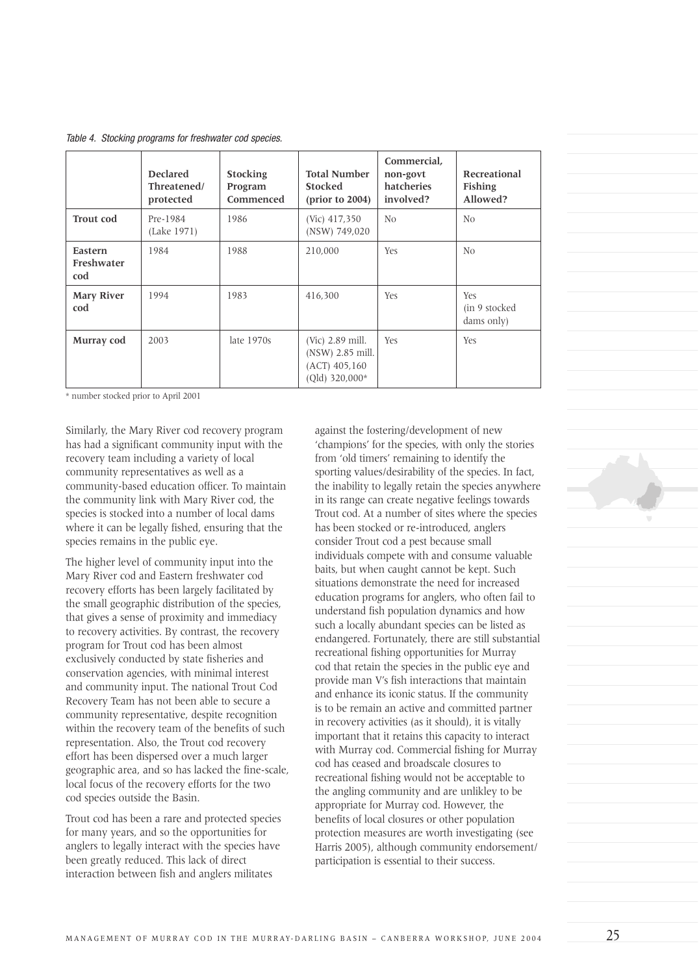Table 4. Stocking programs for freshwater cod species.

|                              | <b>Declared</b><br>Threatened/<br>protected | <b>Stocking</b><br>Program<br>Commenced | <b>Total Number</b><br><b>Stocked</b><br>$(\text{prior to } 2004)$        | Commercial,<br>non-govt<br>hatcheries<br>involved? | Recreational<br><b>Fishing</b><br>Allowed? |
|------------------------------|---------------------------------------------|-----------------------------------------|---------------------------------------------------------------------------|----------------------------------------------------|--------------------------------------------|
| <b>Trout cod</b>             | Pre-1984<br>(Lake 1971)                     | 1986                                    | (Vic) 417,350<br>(NSW) 749,020                                            | N <sub>0</sub>                                     | N <sub>0</sub>                             |
| Eastern<br>Freshwater<br>cod | 1984                                        | 1988                                    | 210,000                                                                   | Yes                                                | N <sub>0</sub>                             |
| <b>Mary River</b><br>cod     | 1994                                        | 1983                                    | 416,300                                                                   | Yes                                                | Yes<br>(in 9 stocked)<br>dams only)        |
| Murray cod                   | 2003                                        | late $1970s$                            | (Vic) 2.89 mill.<br>(NSW) 2.85 mill.<br>$(ACT)$ 405,160<br>(Old) 320,000* | Yes                                                | Yes                                        |

\* number stocked prior to April 2001

Similarly, the Mary River cod recovery program has had a significant community input with the recovery team including a variety of local community representatives as well as a community-based education officer. To maintain the community link with Mary River cod, the species is stocked into a number of local dams where it can be legally fished, ensuring that the species remains in the public eye.

The higher level of community input into the Mary River cod and Eastern freshwater cod recovery efforts has been largely facilitated by the small geographic distribution of the species, that gives a sense of proximity and immediacy to recovery activities. By contrast, the recovery program for Trout cod has been almost exclusively conducted by state fisheries and conservation agencies, with minimal interest and community input. The national Trout Cod Recovery Team has not been able to secure a community representative, despite recognition within the recovery team of the benefits of such representation. Also, the Trout cod recovery effort has been dispersed over a much larger geographic area, and so has lacked the fine-scale, local focus of the recovery efforts for the two cod species outside the Basin.

Trout cod has been a rare and protected species for many years, and so the opportunities for anglers to legally interact with the species have been greatly reduced. This lack of direct interaction between fish and anglers militates

against the fostering/development of new 'champions' for the species, with only the stories from 'old timers' remaining to identify the sporting values/desirability of the species. In fact, the inability to legally retain the species anywhere in its range can create negative feelings towards Trout cod. At a number of sites where the species has been stocked or re-introduced, anglers consider Trout cod a pest because small individuals compete with and consume valuable baits, but when caught cannot be kept. Such situations demonstrate the need for increased education programs for anglers, who often fail to understand fish population dynamics and how such a locally abundant species can be listed as endangered. Fortunately, there are still substantial recreational fishing opportunities for Murray cod that retain the species in the public eye and provide man V's fish interactions that maintain and enhance its iconic status. If the community is to be remain an active and committed partner in recovery activities (as it should), it is vitally important that it retains this capacity to interact with Murray cod. Commercial fishing for Murray cod has ceased and broadscale closures to recreational fishing would not be acceptable to the angling community and are unlikley to be appropriate for Murray cod. However, the benefits of local closures or other population protection measures are worth investigating (see Harris 2005), although community endorsement/ participation is essential to their success.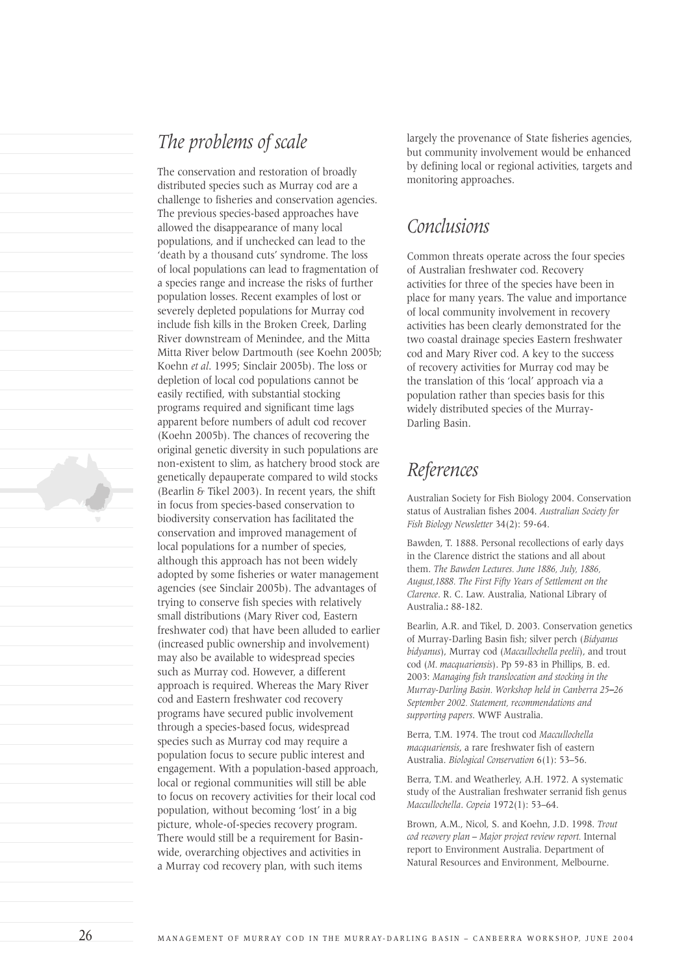



The conservation and restoration of broadly distributed species such as Murray cod are a challenge to fisheries and conservation agencies. The previous species-based approaches have allowed the disappearance of many local populations, and if unchecked can lead to the 'death by a thousand cuts' syndrome. The loss of local populations can lead to fragmentation of a species range and increase the risks of further population losses. Recent examples of lost or severely depleted populations for Murray cod include fish kills in the Broken Creek, Darling River downstream of Menindee, and the Mitta Mitta River below Dartmouth (see Koehn 2005b; Koehn *et al*. 1995; Sinclair 2005b). The loss or depletion of local cod populations cannot be easily rectified, with substantial stocking programs required and significant time lags apparent before numbers of adult cod recover (Koehn 2005b). The chances of recovering the original genetic diversity in such populations are non-existent to slim, as hatchery brood stock are genetically depauperate compared to wild stocks (Bearlin & Tikel 2003). In recent years, the shift in focus from species-based conservation to biodiversity conservation has facilitated the conservation and improved management of local populations for a number of species, although this approach has not been widely adopted by some fisheries or water management agencies (see Sinclair 2005b). The advantages of trying to conserve fish species with relatively small distributions (Mary River cod, Eastern freshwater cod) that have been alluded to earlier (increased public ownership and involvement) may also be available to widespread species such as Murray cod. However, a different approach is required. Whereas the Mary River cod and Eastern freshwater cod recovery programs have secured public involvement through a species-based focus, widespread species such as Murray cod may require a population focus to secure public interest and engagement. With a population-based approach, local or regional communities will still be able to focus on recovery activities for their local cod population, without becoming 'lost' in a big picture, whole-of-species recovery program. There would still be a requirement for Basinwide, overarching objectives and activities in a Murray cod recovery plan, with such items

largely the provenance of State fisheries agencies, but community involvement would be enhanced by defining local or regional activities, targets and monitoring approaches.

# *Conclusions*

Common threats operate across the four species of Australian freshwater cod. Recovery activities for three of the species have been in place for many years. The value and importance of local community involvement in recovery activities has been clearly demonstrated for the two coastal drainage species Eastern freshwater cod and Mary River cod. A key to the success of recovery activities for Murray cod may be the translation of this 'local' approach via a population rather than species basis for this widely distributed species of the Murray-Darling Basin.

# *References*

Australian Society for Fish Biology 2004. Conservation status of Australian fishes 2004. *Australian Society for Fish Biology Newsletter* 34(2): 59-64.

Bawden, T. 1888. Personal recollections of early days in the Clarence district the stations and all about them. *The Bawden Lectures. June 1886, July, 1886, August,1888. The First Fifty Years of Settlement on the Clarence*. R. C. Law. Australia, National Library of Australia.**:** 88-182.

Bearlin, A.R. and Tikel, D. 2003. Conservation genetics of Murray-Darling Basin fish; silver perch (*Bidyanus bidyanus*), Murray cod (*Maccullochella peelii*), and trout cod (*M. macquariensis*). Pp 59-83 in Phillips, B. ed. 2003: *Managing fish translocation and stocking in the Murray-Darling Basin. Workshop held in Canberra 25–26 September 2002. Statement, recommendations and supporting papers*. WWF Australia.

Berra, T.M. 1974. The trout cod *Maccullochella macquariensis*, a rare freshwater fish of eastern Australia. *Biological Conservation* 6(1): 53–56.

Berra, T.M. and Weatherley, A.H. 1972. A systematic study of the Australian freshwater serranid fish genus *Maccullochella*. *Copeia* 1972(1): 53–64.

Brown, A.M., Nicol, S. and Koehn, J.D. 1998. *Trout cod recovery plan – Major project review report.* Internal report to Environment Australia. Department of Natural Resources and Environment, Melbourne.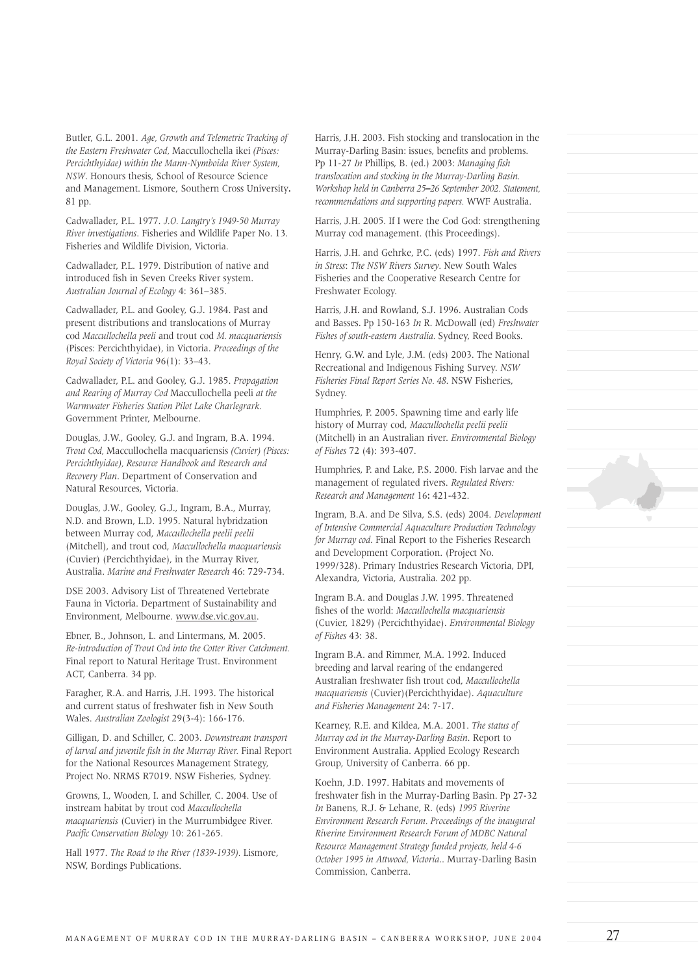Butler, G.L. 2001. *Age, Growth and Telemetric Tracking of the Eastern Freshwater Cod,* Maccullochella ikei *(Pisces: Percichthyidae) within the Mann-Nymboida River System, NSW*. Honours thesis, School of Resource Science and Management. Lismore, Southern Cross University**.** 81 pp.

Cadwallader, P.L. 1977. *J.O. Langtry's 1949-50 Murray River investigations*. Fisheries and Wildlife Paper No. 13. Fisheries and Wildlife Division, Victoria.

Cadwallader, P.L. 1979. Distribution of native and introduced fish in Seven Creeks River system. *Australian Journal of Ecology* 4: 361–385.

Cadwallader, P.L. and Gooley, G.J. 1984. Past and present distributions and translocations of Murray cod *Maccullochella peeli* and trout cod *M. macquariensis* (Pisces: Percichthyidae), in Victoria. *Proceedings of the Royal Society of Victoria* 96(1): 33–43.

Cadwallader, P.L. and Gooley, G.J. 1985. *Propagation and Rearing of Murray Cod* Maccullochella peeli *at the Warmwater Fisheries Station Pilot Lake Charlegrark.* Government Printer, Melbourne.

Douglas, J.W., Gooley, G.J. and Ingram, B.A. 1994. *Trout Cod,* Maccullochella macquariensis *(Cuvier) (Pisces: Percichthyidae), Resource Handbook and Research and Recovery Plan*. Department of Conservation and Natural Resources, Victoria.

Douglas, J.W., Gooley, G.J., Ingram, B.A., Murray, N.D. and Brown, L.D. 1995. Natural hybridzation between Murray cod, *Maccullochella peelii peelii* (Mitchell), and trout cod, *Maccullochella macquariensis* (Cuvier) (Percichthyidae), in the Murray River, Australia. *Marine and Freshwater Research* 46: 729-734.

DSE 2003. Advisory List of Threatened Vertebrate Fauna in Victoria. Department of Sustainability and Environment, Melbourne. www.dse.vic.gov.au.

Ebner, B., Johnson, L. and Lintermans, M. 2005. *Re-introduction of Trout Cod into the Cotter River Catchment.* Final report to Natural Heritage Trust. Environment ACT, Canberra. 34 pp.

Faragher, R.A. and Harris, J.H. 1993. The historical and current status of freshwater fish in New South Wales. *Australian Zoologist* 29(3-4): 166-176.

Gilligan, D. and Schiller, C. 2003. *Downstream transport of larval and juvenile fish in the Murray River.* Final Report for the National Resources Management Strategy, Project No. NRMS R7019. NSW Fisheries, Sydney.

Growns, I., Wooden, I. and Schiller, C. 2004. Use of instream habitat by trout cod *Maccullochella macquariensis* (Cuvier) in the Murrumbidgee River. *Pacific Conservation Biology* 10: 261-265.

Hall 1977. *The Road to the River (1839-1939).* Lismore, NSW, Bordings Publications.

Harris, J.H. 2003. Fish stocking and translocation in the Murray-Darling Basin: issues, benefits and problems. Pp 11-27 *In* Phillips, B. (ed.) 2003: *Managing fish translocation and stocking in the Murray-Darling Basin. Workshop held in Canberra 25–26 September 2002. Statement, recommendations and supporting papers.* WWF Australia.

Harris, J.H. 2005. If I were the Cod God: strengthening Murray cod management. (this Proceedings).

Harris, J.H. and Gehrke, P.C. (eds) 1997. *Fish and Rivers in Stress*: *The NSW Rivers Survey*. New South Wales Fisheries and the Cooperative Research Centre for Freshwater Ecology.

Harris, J.H. and Rowland, S.J. 1996. Australian Cods and Basses. Pp 150-163 *In* R. McDowall (ed) *Freshwater Fishes of south-eastern Australia.* Sydney, Reed Books.

Henry, G.W. and Lyle, J.M. (eds) 2003. The National Recreational and Indigenous Fishing Survey. *NSW Fisheries Final Report Series No. 48*. NSW Fisheries, Sydney.

Humphries, P. 2005. Spawning time and early life history of Murray cod, *Maccullochella peelii peelii* (Mitchell) in an Australian river. *Environmental Biology of Fishes* 72 (4): 393-407.

Humphries, P. and Lake, P.S. 2000. Fish larvae and the management of regulated rivers. *Regulated Rivers: Research and Management* 16**:** 421-432.

Ingram, B.A. and De Silva, S.S. (eds) 2004. *Development of Intensive Commercial Aquaculture Production Technology for Murray cod*. Final Report to the Fisheries Research and Development Corporation. (Project No. 1999/328). Primary Industries Research Victoria, DPI, Alexandra, Victoria, Australia. 202 pp.

Ingram B.A. and Douglas J.W. 1995. Threatened fishes of the world: *Maccullochella macquariensis* (Cuvier, 1829) (Percichthyidae). *Environmental Biology of Fishes* 43: 38.

Ingram B.A. and Rimmer, M.A. 1992. Induced breeding and larval rearing of the endangered Australian freshwater fish trout cod, *Maccullochella macquariensis* (Cuvier)(Percichthyidae). *Aquaculture and Fisheries Management* 24: 7-17.

Kearney, R.E. and Kildea, M.A. 2001. *The status of Murray cod in the Murray-Darling Basin*. Report to Environment Australia. Applied Ecology Research Group, University of Canberra. 66 pp.

Koehn, J.D. 1997. Habitats and movements of freshwater fish in the Murray-Darling Basin. Pp 27-32 *In* Banens, R.J. & Lehane, R. (eds) *1995 Riverine Environment Research Forum. Proceedings of the inaugural Riverine Environment Research Forum of MDBC Natural Resource Management Strategy funded projects, held 4-6 October 1995 in Attwood, Victoria*.. Murray-Darling Basin Commission, Canberra.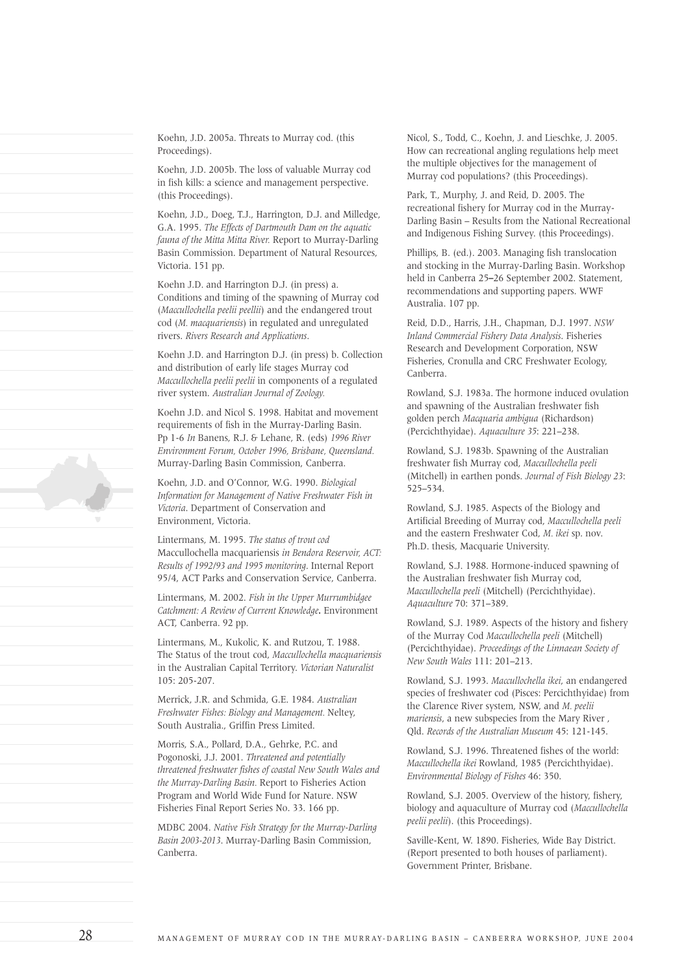Koehn, J.D. 2005a. Threats to Murray cod. (this Proceedings).

Koehn, J.D. 2005b. The loss of valuable Murray cod in fish kills: a science and management perspective. (this Proceedings).

Koehn, J.D., Doeg, T.J., Harrington, D.J. and Milledge, G.A. 1995. *The Effects of Dartmouth Dam on the aquatic fauna of the Mitta Mitta River.* Report to Murray-Darling Basin Commission. Department of Natural Resources, Victoria. 151 pp.

Koehn J.D. and Harrington D.J. (in press) a. Conditions and timing of the spawning of Murray cod (*Maccullochella peelii peellii*) and the endangered trout cod (*M. macquariensis*) in regulated and unregulated rivers. *Rivers Research and Applications*.

Koehn J.D. and Harrington D.J. (in press) b. Collection and distribution of early life stages Murray cod *Maccullochella peelii peelii* in components of a regulated river system. *Australian Journal of Zoology.*

Koehn J.D. and Nicol S. 1998. Habitat and movement requirements of fish in the Murray-Darling Basin. Pp 1-6 *In* Banens, R.J. & Lehane, R. (eds) *1996 River Environment Forum, October 1996, Brisbane, Queensland.* Murray-Darling Basin Commission, Canberra.

Koehn, J.D. and O'Connor, W.G. 1990. *Biological Information for Management of Native Freshwater Fish in Victoria*. Department of Conservation and Environment, Victoria.

Lintermans, M. 1995. *The status of trout cod* Maccullochella macquariensis *in Bendora Reservoir, ACT: Results of 1992/93 and 1995 monitoring*. Internal Report 95/4, ACT Parks and Conservation Service, Canberra.

Lintermans, M. 2002. *Fish in the Upper Murrumbidgee Catchment: A Review of Current Knowledge***.** Environment ACT, Canberra. 92 pp.

Lintermans, M., Kukolic, K. and Rutzou, T. 1988. The Status of the trout cod, *Maccullochella macquariensis* in the Australian Capital Territory. *Victorian Naturalist* 105: 205-207.

Merrick, J.R. and Schmida, G.E. 1984. *Australian Freshwater Fishes: Biology and Management.* Neltey, South Australia., Griffin Press Limited.

Morris, S.A., Pollard, D.A., Gehrke, P.C. and Pogonoski, J.J. 2001. *Threatened and potentially threatened freshwater fishes of coastal New South Wales and the Murray-Darling Basin.* Report to Fisheries Action Program and World Wide Fund for Nature. NSW Fisheries Final Report Series No. 33. 166 pp.

MDBC 2004. *Native Fish Strategy for the Murray-Darling Basin 2003-2013*. Murray-Darling Basin Commission, Canberra.

Nicol, S., Todd, C., Koehn, J. and Lieschke, J. 2005. How can recreational angling regulations help meet the multiple objectives for the management of Murray cod populations? (this Proceedings).

Park, T., Murphy, J. and Reid, D. 2005. The recreational fishery for Murray cod in the Murray-Darling Basin – Results from the National Recreational and Indigenous Fishing Survey. (this Proceedings).

Phillips, B. (ed.). 2003. Managing fish translocation and stocking in the Murray-Darling Basin. Workshop held in Canberra 25**–**26 September 2002. Statement, recommendations and supporting papers. WWF Australia. 107 pp.

Reid, D.D., Harris, J.H., Chapman, D.J. 1997. *NSW Inland Commercial Fishery Data Analysis*. Fisheries Research and Development Corporation, NSW Fisheries, Cronulla and CRC Freshwater Ecology, Canberra.

Rowland, S.J. 1983a. The hormone induced ovulation and spawning of the Australian freshwater fish golden perch *Macquaria ambigua* (Richardson) (Percichthyidae). *Aquaculture 35*: 221–238.

Rowland, S.J. 1983b. Spawning of the Australian freshwater fish Murray cod, *Maccullochella peeli* (Mitchell) in earthen ponds. *Journal of Fish Biology 23*: 525–534.

Rowland, S.J. 1985. Aspects of the Biology and Artificial Breeding of Murray cod, *Maccullochella peeli* and the eastern Freshwater Cod, *M. ikei* sp. nov. Ph.D. thesis, Macquarie University.

Rowland, S.J. 1988. Hormone-induced spawning of the Australian freshwater fish Murray cod, *Maccullochella peeli* (Mitchell) (Percichthyidae). *Aquaculture* 70: 371–389.

Rowland, S.J. 1989. Aspects of the history and fishery of the Murray Cod *Maccullochella peeli* (Mitchell) (Percichthyidae). *Proceedings of the Linnaean Society of New South Wales* 111: 201–213.

Rowland, S.J. 1993. *Maccullochella ikei*, an endangered species of freshwater cod (Pisces: Percichthyidae) from the Clarence River system, NSW, and *M. peelii mariensis*, a new subspecies from the Mary River , Qld. *Records of the Australian Museum* 45: 121-145.

Rowland, S.J. 1996. Threatened fishes of the world: *Maccullochella ikei* Rowland, 1985 (Percichthyidae). *Environmental Biology of Fishes* 46: 350.

Rowland, S.J. 2005. Overview of the history, fishery, biology and aquaculture of Murray cod (*Maccullochella peelii peelii*). (this Proceedings).

Saville-Kent, W. 1890. Fisheries, Wide Bay District. (Report presented to both houses of parliament). Government Printer, Brisbane.